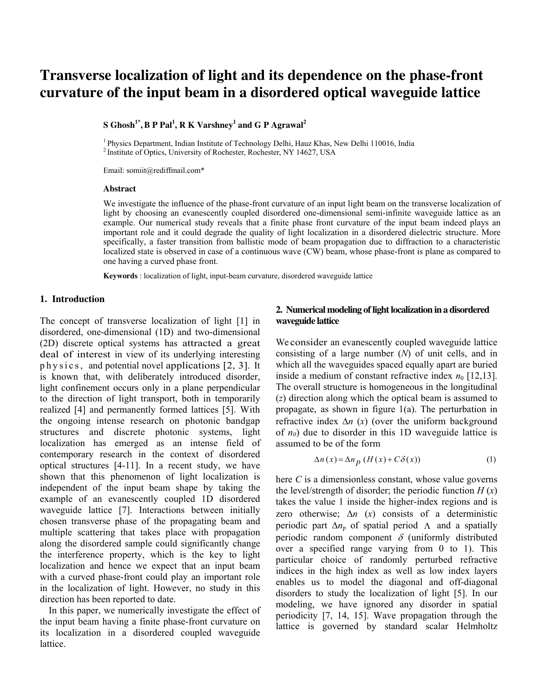# **Transverse localization of light and its dependence on the phase-front curvature of the input beam in a disordered optical waveguide lattice**

**S** Ghosh<sup>1\*</sup>, **B** P Pal<sup>1</sup>, **R** K Varshney<sup>1</sup> and G P Agrawal<sup>2</sup>

<sup>1</sup>Physics Department, Indian Institute of Technology Delhi, Hauz Khas, New Delhi 110016, India <sup>2</sup> Institute of Optics, University of Rochester, Rochester, NY 14627, USA

Email: [somiit@rediffmail.com\\*](mailto:somiit@rediffmail.com)

#### **Abstract**

We investigate the influence of the phase-front curvature of an input light beam on the transverse localization of light by choosing an evanescently coupled disordered one-dimensional semi-infinite waveguide lattice as an example. Our numerical study reveals that a finite phase front curvature of the input beam indeed plays an important role and it could degrade the quality of light localization in a disordered dielectric structure. More specifically, a faster transition from ballistic mode of beam propagation due to diffraction to a characteristic localized state is observed in case of a continuous wave (CW) beam, whose phase-front is plane as compared to one having a curved phase front.

**Keywords** : localization of light, input-beam curvature, disordered waveguide lattice

#### **1. Introduction**

The concept of transverse localization of light [1] in disordered, one-dimensional (1D) and two-dimensional (2D) discrete optical systems has attracted a great deal of interest in view of its underlying interesting physics, and potential novel applications [2, 3]. It is known that, with deliberately introduced disorder, light confinement occurs only in a plane perpendicular to the direction of light transport, both in temporarily realized [4] and permanently formed lattices [5]. With the ongoing intense research on photonic bandgap structures and discrete photonic systems, light localization has emerged as an intense field of contemporary research in the context of disordered optical structures [4-11]. In a recent study, we have shown that this phenomenon of light localization is independent of the input beam shape by taking the example of an evanescently coupled 1D disordered waveguide lattice [7]. Interactions between initially chosen transverse phase of the propagating beam and multiple scattering that takes place with propagation along the disordered sample could significantly change the interference property, which is the key to light localization and hence we expect that an input beam with a curved phase-front could play an important role in the localization of light. However, no study in this direction has been reported to date.

In this paper, we numerically investigate the effect of the input beam having a finite phase-front curvature on its localization in a disordered coupled waveguide lattice.

## **2. Numerical modeling of light localization in a disordered waveguide lattice**

We consider an evanescently coupled waveguide lattice consisting of a large number (*N*) of unit cells, and in which all the waveguides spaced equally apart are buried inside a medium of constant refractive index  $n_0$  [12,13]. The overall structure is homogeneous in the longitudinal (*z*) direction along which the optical beam is assumed to propagate, as shown in figure 1(a). The perturbation in refractive index  $\Delta n$  (*x*) (over the uniform background of *n0*) due to disorder in this 1D waveguide lattice is assumed to be of the form

$$
\Delta n(x) = \Delta n_p(H(x) + C\delta(x))
$$
 (1)

here *C* is a dimensionless constant, whose value governs the level/strength of disorder; the periodic function  $H(x)$ takes the value 1 inside the higher-index regions and is zero otherwise; Δ*n* (*x*) consists of a deterministic periodic part  $\Delta n_p$  of spatial period  $\Lambda$  and a spatially periodic random component  $\delta$  (uniformly distributed over a specified range varying from 0 to 1). This particular choice of randomly perturbed refractive indices in the high index as well as low index layers enables us to model the diagonal and off-diagonal disorders to study the localization of light [5]. In our modeling, we have ignored any disorder in spatial periodicity [7, 14, 15]. Wave propagation through the lattice is governed by standard scalar Helmholtz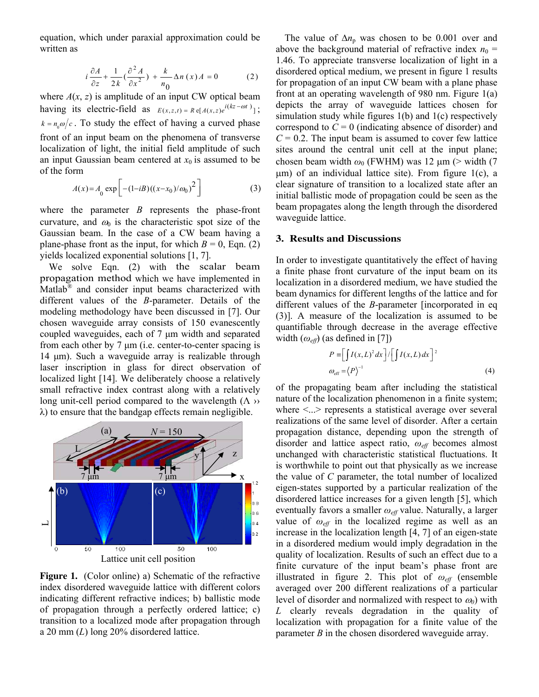equation, which under paraxial approximation could be written as

$$
i\frac{\partial A}{\partial z} + \frac{1}{2k} \left( \frac{\partial^2 A}{\partial x^2} \right) + \frac{k}{n_0} \Delta n(x) A = 0 \tag{2}
$$

where  $A(x, z)$  is amplitude of an input CW optical beam having its electric-field as  $E(x, z, t) = R e[A(x, z)e^{i(kz - \omega t)}]$ ;  $k = n_0 \omega/c$ . To study the effect of having a curved phase front of an input beam on the phenomena of transverse localization of light, the initial field amplitude of such an input Gaussian beam centered at  $x_0$  is assumed to be of the form

$$
A(x) = A_0 \exp\left[ -(1 - iB)((x - x_0)/\omega_0)^2 \right]
$$
 (3)

where the parameter *B* represents the phase-front curvature, and  $\omega_0$  is the characteristic spot size of the Gaussian beam. In the case of a CW beam having a plane-phase front as the input, for which  $B = 0$ , Eqn. (2) yields localized exponential solutions [1, 7].

We solve Eqn. (2) with the scalar beam propagation method which we have implemented in Matlab*®* and consider input beams characterized with different values of the *B*-parameter. Details of the modeling methodology have been discussed in [7]. Our chosen waveguide array consists of 150 evanescently coupled waveguides, each of 7 μm width and separated from each other by 7 μm (i.e. center-to-center spacing is 14 μm). Such a waveguide array is realizable through laser inscription in glass for direct observation of localized light [14]. We deliberately choose a relatively small refractive index contrast along with a relatively long unit-cell period compared to the wavelength  $(Λ)$  $\lambda$ ) to ensure that the bandgap effects remain negligible.



**Figure 1.** (Color online) a) Schematic of the refractive index disordered waveguide lattice with different colors indicating different refractive indices; b) ballistic mode of propagation through a perfectly ordered lattice; c) transition to a localized mode after propagation through a 20 mm (*L*) long 20% disordered lattice.

The value of  $\Delta n_p$  was chosen to be 0.001 over and above the background material of refractive index  $n_0$  = 1.46. To appreciate transverse localization of light in a disordered optical medium, we present in figure 1 results for propagation of an input CW beam with a plane phase front at an operating wavelength of 980 nm. Figure 1(a) depicts the array of waveguide lattices chosen for simulation study while figures 1(b) and 1(c) respectively correspond to  $C = 0$  (indicating absence of disorder) and  $C = 0.2$ . The input beam is assumed to cover few lattice sites around the central unit cell at the input plane; chosen beam width  $\omega_0$  (FWHM) was 12  $\mu$ m (> width (7) μm) of an individual lattice site). From figure 1(c), a clear signature of transition to a localized state after an initial ballistic mode of propagation could be seen as the beam propagates along the length through the disordered waveguide lattice.

## **3. Results and Discussions**

In order to investigate quantitatively the effect of having a finite phase front curvature of the input beam on its localization in a disordered medium, we have studied the beam dynamics for different lengths of the lattice and for different values of the *B*-parameter [incorporated in eq (3)]. A measure of the localization is assumed to be quantifiable through decrease in the average effective width  $(\omega_{\text{eff}})$  (as defined in [7])

$$
P = \left[ \int I(x, L)^2 dx \right] / \left[ \int I(x, L) dx \right]^2
$$
  

$$
\omega_{\text{eff}} = \left\langle P \right\rangle^{-1} \tag{4}
$$

of the propagating beam after including the statistical nature of the localization phenomenon in a finite system; where <...> represents a statistical average over several realizations of the same level of disorder. After a certain propagation distance, depending upon the strength of disorder and lattice aspect ratio, *ωeff* becomes almost unchanged with characteristic statistical fluctuations. It is worthwhile to point out that physically as we increase the value of *C* parameter, the total number of localized eigen-states supported by a particular realization of the disordered lattice increases for a given length [5], which eventually favors a smaller *ωeff* value. Naturally, a larger value of *ωeff* in the localized regime as well as an increase in the localization length [4, 7] of an eigen-state in a disordered medium would imply degradation in the quality of localization. Results of such an effect due to a finite curvature of the input beam's phase front are illustrated in figure 2. This plot of *ωeff* (ensemble averaged over 200 different realizations of a particular level of disorder and normalized with respect to <sup>ω</sup>*0*) with *L* clearly reveals degradation in the quality of localization with propagation for a finite value of the parameter *B* in the chosen disordered waveguide array.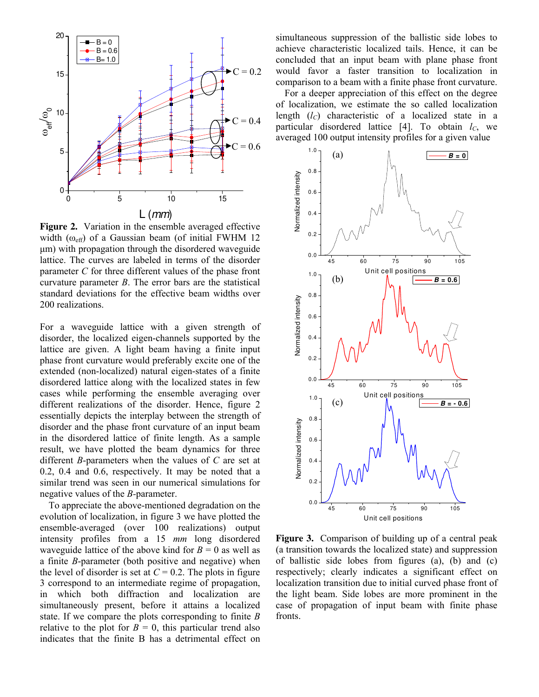

**Figure 2.** Variation in the ensemble averaged effective width ( $\omega_{\text{eff}}$ ) of a Gaussian beam (of initial FWHM 12 μm) with propagation through the disordered waveguide lattice. The curves are labeled in terms of the disorder parameter *C* for three different values of the phase front curvature parameter *B*. The error bars are the statistical standard deviations for the effective beam widths over 200 realizations.

For a waveguide lattice with a given strength of disorder, the localized eigen-channels supported by the lattice are given. A light beam having a finite input phase front curvature would preferably excite one of the extended (non-localized) natural eigen-states of a finite disordered lattice along with the localized states in few cases while performing the ensemble averaging over different realizations of the disorder. Hence, figure 2 essentially depicts the interplay between the strength of disorder and the phase front curvature of an input beam in the disordered lattice of finite length. As a sample result, we have plotted the beam dynamics for three different *B*-parameters when the values of *C* are set at 0.2, 0.4 and 0.6, respectively. It may be noted that a similar trend was seen in our numerical simulations for negative values of the *B-*parameter.

To appreciate the above-mentioned degradation on the evolution of localization, in figure 3 we have plotted the ensemble-averaged (over 100 realizations) output intensity profiles from a 15 *mm* long disordered waveguide lattice of the above kind for  $B = 0$  as well as a finite *B*-parameter (both positive and negative) when the level of disorder is set at  $C = 0.2$ . The plots in figure 3 correspond to an intermediate regime of propagation, in which both diffraction and localization are simultaneously present, before it attains a localized state. If we compare the plots corresponding to finite *B* relative to the plot for  $B = 0$ , this particular trend also indicates that the finite B has a detrimental effect on

simultaneous suppression of the ballistic side lobes to achieve characteristic localized tails. Hence, it can be concluded that an input beam with plane phase front would favor a faster transition to localization in comparison to a beam with a finite phase front curvature.

For a deeper appreciation of this effect on the degree of localization, we estimate the so called localization length (*lC*) characteristic of a localized state in a particular disordered lattice [4]. To obtain  $l_C$ , we averaged 100 output intensity profiles for a given value



**Figure 3.** Comparison of building up of a central peak (a transition towards the localized state) and suppression of ballistic side lobes from figures (a), (b) and (c) respectively; clearly indicates a significant effect on localization transition due to initial curved phase front of the light beam. Side lobes are more prominent in the case of propagation of input beam with finite phase fronts.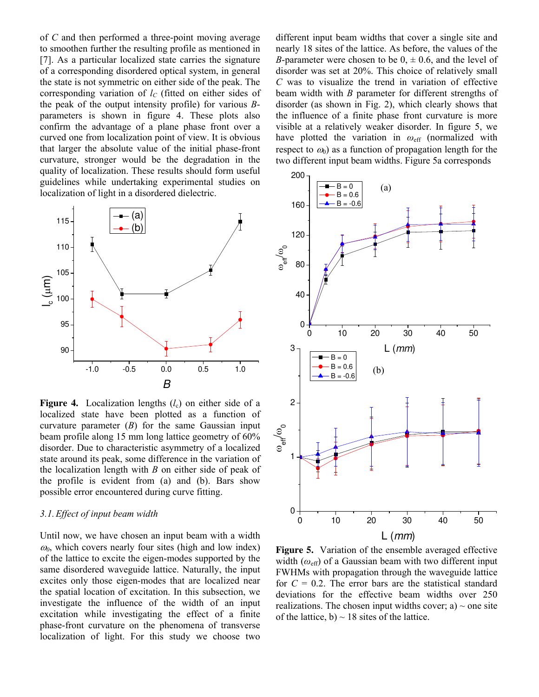of *C* and then performed a three-point moving average to smoothen further the resulting profile as mentioned in [7]. As a particular localized state carries the signature of a corresponding disordered optical system, in general the state is not symmetric on either side of the peak. The corresponding variation of *lC* (fitted on either sides of the peak of the output intensity profile) for various *B*parameters is shown in figure 4. These plots also confirm the advantage of a plane phase front over a curved one from localization point of view. It is obvious that larger the absolute value of the initial phase-front curvature, stronger would be the degradation in the quality of localization. These results should form useful guidelines while undertaking experimental studies on localization of light in a disordered dielectric.



**Figure 4.** Localization lengths  $(l_c)$  on either side of a localized state have been plotted as a function of curvature parameter  $(B)$  for the same Gaussian input beam profile along 15 mm long lattice geometry of 60% disorder. Due to characteristic asymmetry of a localized state around its peak, some difference in the variation of the localization length with *B* on either side of peak of the profile is evident from (a) and (b). Bars show possible error encountered during curve fitting.

#### *3.1.Effect of input beam width*

Until now, we have chosen an input beam with a width  $\omega_0$ , which covers nearly four sites (high and low index) of the lattice to excite the eigen-modes supported by the same disordered waveguide lattice. Naturally, the input excites only those eigen-modes that are localized near the spatial location of excitation. In this subsection, we investigate the influence of the width of an input excitation while investigating the effect of a finite phase-front curvature on the phenomena of transverse localization of light. For this study we choose two different input beam widths that cover a single site and nearly 18 sites of the lattice. As before, the values of the *B*-parameter were chosen to be  $0, \pm 0.6$ , and the level of disorder was set at 20%. This choice of relatively small *C* was to visualize the trend in variation of effective beam width with *B* parameter for different strengths of disorder (as shown in Fig. 2), which clearly shows that the influence of a finite phase front curvature is more visible at a relatively weaker disorder. In figure 5, we have plotted the variation in  $ω_{\text{eff}}$  (normalized with respect to  $\omega_0$ ) as a function of propagation length for the two different input beam widths. Figure 5a corresponds



**Figure 5.** Variation of the ensemble averaged effective width  $(\omega_{\text{eff}})$  of a Gaussian beam with two different input FWHMs with propagation through the waveguide lattice for  $C = 0.2$ . The error bars are the statistical standard deviations for the effective beam widths over 250 realizations. The chosen input widths cover;  $a$ )  $\sim$  one site of the lattice,  $b$ ) ~ 18 sites of the lattice.